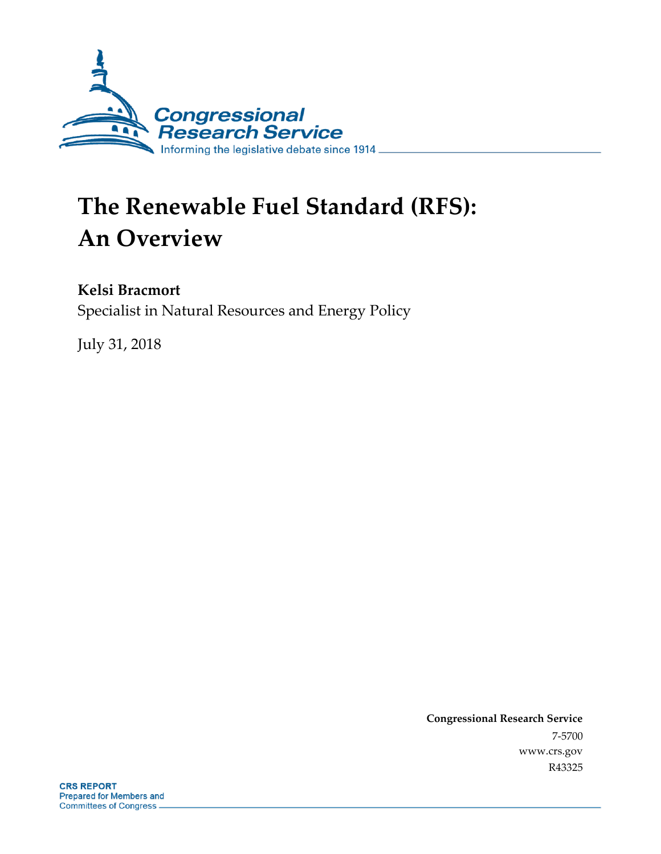

# **The Renewable Fuel Standard (RFS): An Overview**

#### **Kelsi Bracmort**

Specialist in Natural Resources and Energy Policy

July 31, 2018

**Congressional Research Service** 7-5700 www.crs.gov R43325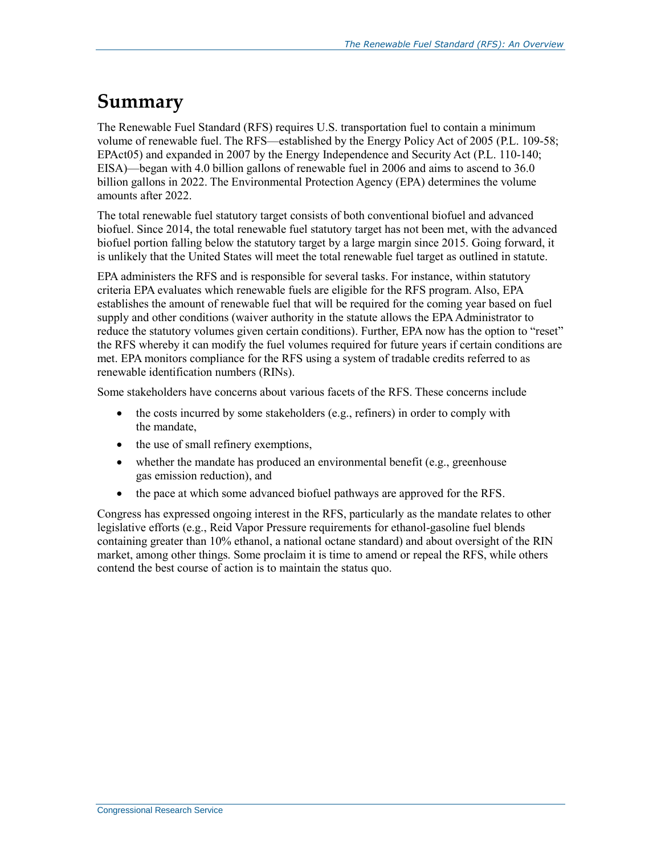### **Summary**

The Renewable Fuel Standard (RFS) requires U.S. transportation fuel to contain a minimum volume of renewable fuel. The RFS—established by the Energy Policy Act of 2005 (P.L. 109-58; EPAct05) and expanded in 2007 by the Energy Independence and Security Act (P.L. 110-140; EISA)—began with 4.0 billion gallons of renewable fuel in 2006 and aims to ascend to 36.0 billion gallons in 2022. The Environmental Protection Agency (EPA) determines the volume amounts after 2022.

The total renewable fuel statutory target consists of both conventional biofuel and advanced biofuel. Since 2014, the total renewable fuel statutory target has not been met, with the advanced biofuel portion falling below the statutory target by a large margin since 2015. Going forward, it is unlikely that the United States will meet the total renewable fuel target as outlined in statute.

EPA administers the RFS and is responsible for several tasks. For instance, within statutory criteria EPA evaluates which renewable fuels are eligible for the RFS program. Also, EPA establishes the amount of renewable fuel that will be required for the coming year based on fuel supply and other conditions (waiver authority in the statute allows the EPA Administrator to reduce the statutory volumes given certain conditions). Further, EPA now has the option to "reset" the RFS whereby it can modify the fuel volumes required for future years if certain conditions are met. EPA monitors compliance for the RFS using a system of tradable credits referred to as renewable identification numbers (RINs).

Some stakeholders have concerns about various facets of the RFS. These concerns include

- the costs incurred by some stakeholders (e.g., refiners) in order to comply with the mandate,
- the use of small refinery exemptions,
- whether the mandate has produced an environmental benefit (e.g., greenhouse gas emission reduction), and
- the pace at which some advanced biofuel pathways are approved for the RFS.

Congress has expressed ongoing interest in the RFS, particularly as the mandate relates to other legislative efforts (e.g., Reid Vapor Pressure requirements for ethanol-gasoline fuel blends containing greater than 10% ethanol, a national octane standard) and about oversight of the RIN market, among other things. Some proclaim it is time to amend or repeal the RFS, while others contend the best course of action is to maintain the status quo.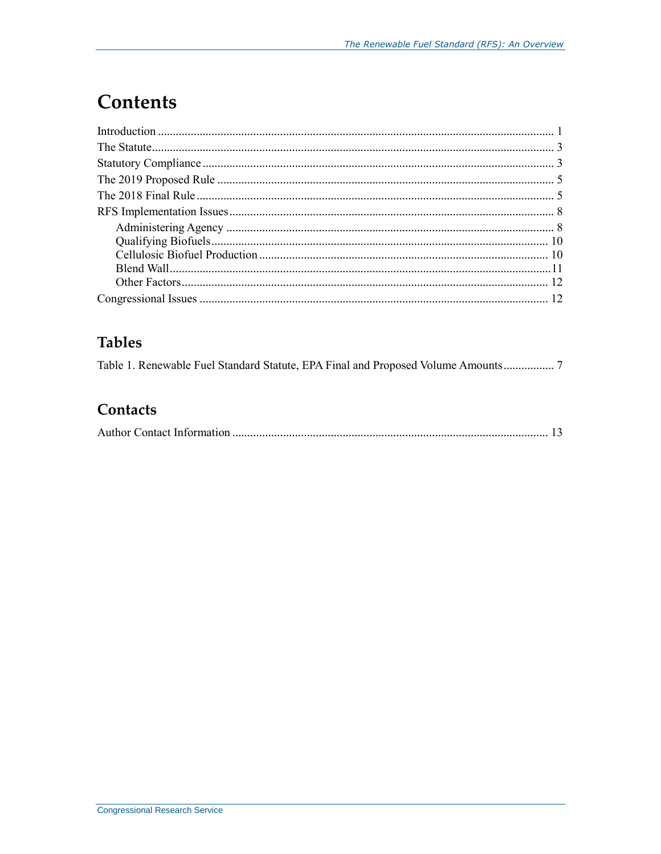# **Contents**

### **Tables**

| Table 1. Renewable Fuel Standard Statute, EPA Final and Proposed Volume Amounts |  |  |
|---------------------------------------------------------------------------------|--|--|
|---------------------------------------------------------------------------------|--|--|

#### Contacts

|--|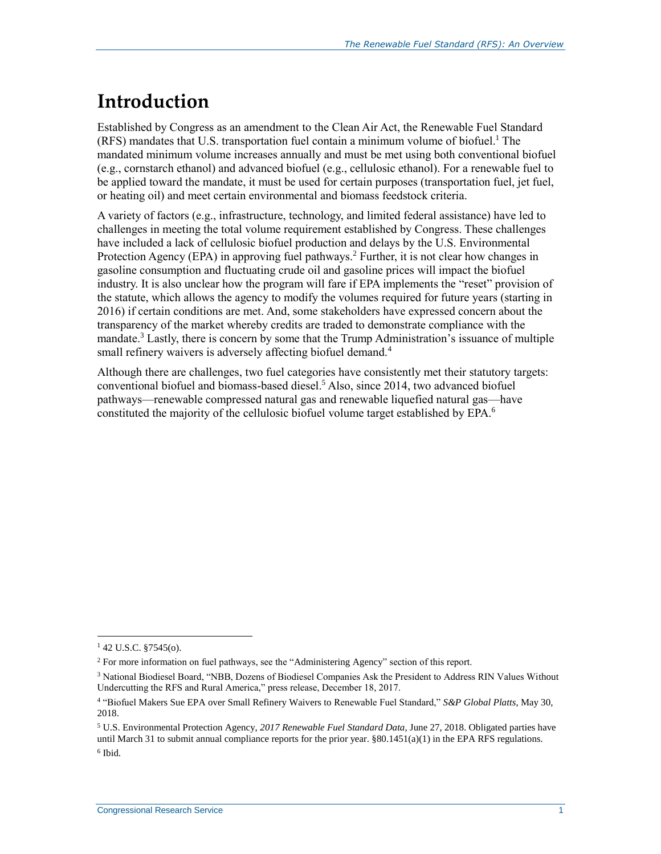## **Introduction**

Established by Congress as an amendment to the Clean Air Act, the Renewable Fuel Standard (RFS) mandates that U.S. transportation fuel contain a minimum volume of biofuel. <sup>1</sup> The mandated minimum volume increases annually and must be met using both conventional biofuel (e.g., cornstarch ethanol) and advanced biofuel (e.g., cellulosic ethanol). For a renewable fuel to be applied toward the mandate, it must be used for certain purposes (transportation fuel, jet fuel, or heating oil) and meet certain environmental and biomass feedstock criteria.

A variety of factors (e.g., infrastructure, technology, and limited federal assistance) have led to challenges in meeting the total volume requirement established by Congress. These challenges have included a lack of cellulosic biofuel production and delays by the U.S. Environmental Protection Agency (EPA) in approving fuel pathways.<sup>2</sup> Further, it is not clear how changes in gasoline consumption and fluctuating crude oil and gasoline prices will impact the biofuel industry. It is also unclear how the program will fare if EPA implements the "reset" provision of the statute, which allows the agency to modify the volumes required for future years (starting in 2016) if certain conditions are met. And, some stakeholders have expressed concern about the transparency of the market whereby credits are traded to demonstrate compliance with the mandate. <sup>3</sup> Lastly, there is concern by some that the Trump Administration's issuance of multiple small refinery waivers is adversely affecting biofuel demand.<sup>4</sup>

Although there are challenges, two fuel categories have consistently met their statutory targets: conventional biofuel and biomass-based diesel.<sup>5</sup> Also, since 2014, two advanced biofuel pathways—renewable compressed natural gas and renewable liquefied natural gas—have constituted the majority of the cellulosic biofuel volume target established by EPA.<sup>6</sup>

 $142$  U.S.C. §7545(o).

<sup>2</sup> For more information on fuel pathways, see the ["Administering Agency"](#page-10-0) section of this report.

<sup>3</sup> National Biodiesel Board, "NBB, Dozens of Biodiesel Companies Ask the President to Address RIN Values Without Undercutting the RFS and Rural America," press release, December 18, 2017.

<sup>4</sup> "Biofuel Makers Sue EPA over Small Refinery Waivers to Renewable Fuel Standard," *S&P Global Platts*, May 30, 2018.

<sup>5</sup> U.S. Environmental Protection Agency, *2017 Renewable Fuel Standard Data*, June 27, 2018. Obligated parties have until March 31 to submit annual compliance reports for the prior year. §80.1451(a)(1) in the EPA RFS regulations. 6 Ibid.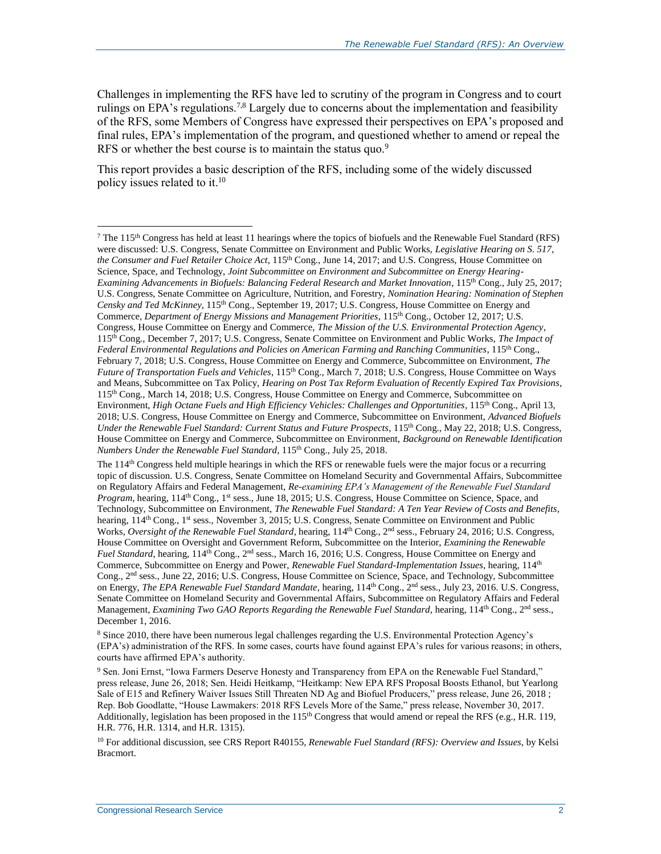Challenges in implementing the RFS have led to scrutiny of the program in Congress and to court rulings on EPA's regulations.<sup>7,8</sup> Largely due to concerns about the implementation and feasibility of the RFS, some Members of Congress have expressed their perspectives on EPA's proposed and final rules, EPA's implementation of the program, and questioned whether to amend or repeal the RFS or whether the best course is to maintain the status quo.<sup>9</sup>

This report provides a basic description of the RFS, including some of the widely discussed policy issues related to it.<sup>10</sup>

<sup>8</sup> Since 2010, there have been numerous legal challenges regarding the U.S. Environmental Protection Agency's (EPA's) administration of the RFS. In some cases, courts have found against EPA's rules for various reasons; in others, courts have affirmed EPA's authority.

<sup>9</sup> Sen. Joni Ernst, "Iowa Farmers Deserve Honesty and Transparency from EPA on the Renewable Fuel Standard," press release, June 26, 2018; Sen. Heidi Heitkamp, "Heitkamp: New EPA RFS Proposal Boosts Ethanol, but Yearlong Sale of E15 and Refinery Waiver Issues Still Threaten ND Ag and Biofuel Producers," press release, June 26, 2018 ; Rep. Bob Goodlatte, "House Lawmakers: 2018 RFS Levels More of the Same," press release, November 30, 2017. Additionally, legislation has been proposed in the  $115<sup>th</sup>$  Congress that would amend or repeal the RFS (e.g., H.R. 119, H.R. 776, H.R. 1314, and H.R. 1315).

<sup>10</sup> For additional discussion, see CRS Report R40155, *Renewable Fuel Standard (RFS): Overview and Issues*, by Kelsi Bracmort.

 $^7$  The 115<sup>th</sup> Congress has held at least 11 hearings where the topics of biofuels and the Renewable Fuel Standard (RFS) were discussed: U.S. Congress, Senate Committee on Environment and Public Works, *Legislative Hearing on S. 517, the Consumer and Fuel Retailer Choice Act*, 115th Cong., June 14, 2017; and U.S. Congress, House Committee on Science, Space, and Technology, *Joint Subcommittee on Environment and Subcommittee on Energy Hearing-Examining Advancements in Biofuels: Balancing Federal Research and Market Innovation*, 115th Cong., July 25, 2017; U.S. Congress, Senate Committee on Agriculture, Nutrition, and Forestry, *Nomination Hearing: Nomination of Stephen Censky and Ted McKinney*, 115th Cong., September 19, 2017; U.S. Congress, House Committee on Energy and Commerce, *Department of Energy Missions and Management Priorities*, 115th Cong., October 12, 2017; U.S. Congress, House Committee on Energy and Commerce, *The Mission of the U.S. Environmental Protection Agency*, 115th Cong., December 7, 2017; U.S. Congress, Senate Committee on Environment and Public Works, *The Impact of Federal Environmental Regulations and Policies on American Farming and Ranching Communities*, 115th Cong., February 7, 2018; U.S. Congress, House Committee on Energy and Commerce, Subcommittee on Environment, *The Future of Transportation Fuels and Vehicles*, 115<sup>th</sup> Cong., March 7, 2018; U.S. Congress, House Committee on Ways and Means, Subcommittee on Tax Policy, *Hearing on Post Tax Reform Evaluation of Recently Expired Tax Provisions*, 115<sup>th</sup> Cong., March 14, 2018; U.S. Congress, House Committee on Energy and Commerce, Subcommittee on Environment, *High Octane Fuels and High Efficiency Vehicles: Challenges and Opportunities*, 115th Cong., April 13, 2018; U.S. Congress, House Committee on Energy and Commerce, Subcommittee on Environment, *Advanced Biofuels Under the Renewable Fuel Standard: Current Status and Future Prospects*, 115th Cong., May 22, 2018; U.S. Congress, House Committee on Energy and Commerce, Subcommittee on Environment, *Background on Renewable Identification Numbers Under the Renewable Fuel Standard*, 115th Cong., July 25, 2018.

The 114<sup>th</sup> Congress held multiple hearings in which the RFS or renewable fuels were the major focus or a recurring topic of discussion. U.S. Congress, Senate Committee on Homeland Security and Governmental Affairs, Subcommittee on Regulatory Affairs and Federal Management, *Re-examining EPA's Management of the Renewable Fuel Standard Program*, hearing, 114<sup>th</sup> Cong., 1<sup>st</sup> sess., June 18, 2015; U.S. Congress, House Committee on Science, Space, and Technology, Subcommittee on Environment, *The Renewable Fuel Standard: A Ten Year Review of Costs and Benefits*, hearing, 114<sup>th</sup> Cong., 1<sup>st</sup> sess., November 3, 2015; U.S. Congress, Senate Committee on Environment and Public Works, *Oversight of the Renewable Fuel Standard*, hearing, 114<sup>th</sup> Cong., 2<sup>nd</sup> sess., February 24, 2016; U.S. Congress, House Committee on Oversight and Government Reform, Subcommittee on the Interior, *Examining the Renewable Fuel Standard*, hearing, 114<sup>th</sup> Cong., 2<sup>nd</sup> sess., March 16, 2016; U.S. Congress, House Committee on Energy and Commerce, Subcommittee on Energy and Power, *Renewable Fuel Standard-Implementation Issues*, hearing, 114th Cong., 2<sup>nd</sup> sess., June 22, 2016; U.S. Congress, House Committee on Science, Space, and Technology, Subcommittee on Energy, *The EPA Renewable Fuel Standard Mandate*, hearing, 114<sup>th</sup> Cong., 2<sup>nd</sup> sess., July 23, 2016. U.S. Congress, Senate Committee on Homeland Security and Governmental Affairs, Subcommittee on Regulatory Affairs and Federal Management, *Examining Two GAO Reports Regarding the Renewable Fuel Standard*, hearing, 114<sup>th</sup> Cong., 2<sup>nd</sup> sess., December 1, 2016.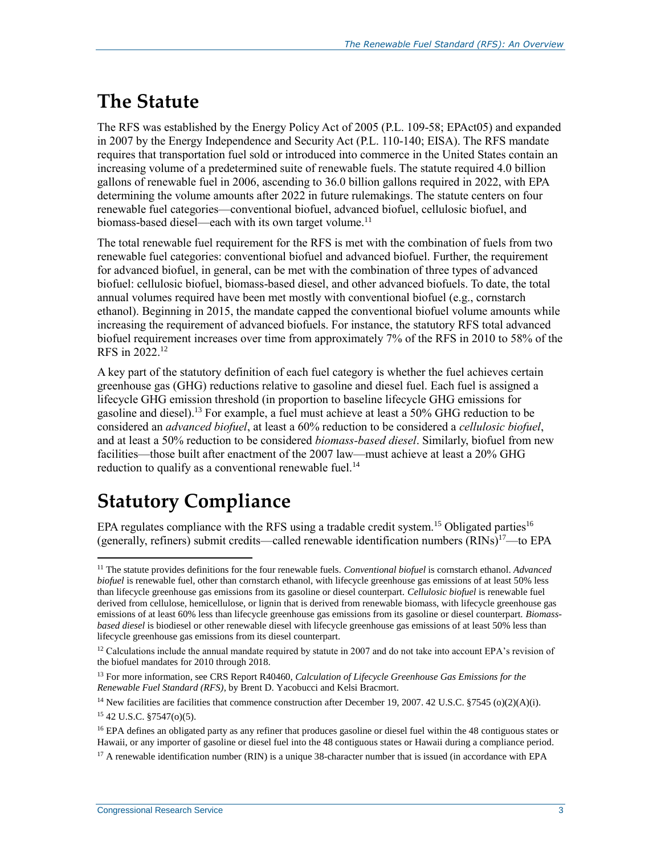## **The Statute**

The RFS was established by the Energy Policy Act of 2005 [\(P.L. 109-58;](http://www.congress.gov/cgi-lis/bdquery/R?d109:FLD002:@1(109+58)) EPAct05) and expanded in 2007 by the Energy Independence and Security Act [\(P.L. 110-140;](http://www.congress.gov/cgi-lis/bdquery/R?d110:FLD002:@1(110+140)) EISA). The RFS mandate requires that transportation fuel sold or introduced into commerce in the United States contain an increasing volume of a predetermined suite of renewable fuels. The statute required 4.0 billion gallons of renewable fuel in 2006, ascending to 36.0 billion gallons required in 2022, with EPA determining the volume amounts after 2022 in future rulemakings. The statute centers on four renewable fuel categories—conventional biofuel, advanced biofuel, cellulosic biofuel, and biomass-based diesel—each with its own target volume.<sup>11</sup>

The total renewable fuel requirement for the RFS is met with the combination of fuels from two renewable fuel categories: conventional biofuel and advanced biofuel. Further, the requirement for advanced biofuel, in general, can be met with the combination of three types of advanced biofuel: cellulosic biofuel, biomass-based diesel, and other advanced biofuels. To date, the total annual volumes required have been met mostly with conventional biofuel (e.g., cornstarch ethanol). Beginning in 2015, the mandate capped the conventional biofuel volume amounts while increasing the requirement of advanced biofuels. For instance, the statutory RFS total advanced biofuel requirement increases over time from approximately 7% of the RFS in 2010 to 58% of the RFS in 2022.<sup>12</sup>

A key part of the statutory definition of each fuel category is whether the fuel achieves certain greenhouse gas (GHG) reductions relative to gasoline and diesel fuel. Each fuel is assigned a lifecycle GHG emission threshold (in proportion to baseline lifecycle GHG emissions for gasoline and diesel).<sup>13</sup> For example, a fuel must achieve at least a  $50\%$  GHG reduction to be considered an *advanced biofuel*, at least a 60% reduction to be considered a *cellulosic biofuel*, and at least a 50% reduction to be considered *biomass-based diesel*. Similarly, biofuel from new facilities—those built after enactment of the 2007 law—must achieve at least a 20% GHG reduction to qualify as a conventional renewable fuel.<sup>14</sup>

### **Statutory Compliance**

EPA regulates compliance with the RFS using a tradable credit system.<sup>15</sup> Obligated parties<sup>16</sup> (generally, refiners) submit credits—called renewable identification numbers  $(RINs)^{17}$ —to EPA

 $\overline{a}$ <sup>11</sup> The statute provides definitions for the four renewable fuels. *Conventional biofuel* is cornstarch ethanol. *Advanced biofuel* is renewable fuel, other than cornstarch ethanol, with lifecycle greenhouse gas emissions of at least 50% less than lifecycle greenhouse gas emissions from its gasoline or diesel counterpart. *Cellulosic biofuel* is renewable fuel derived from cellulose, hemicellulose, or lignin that is derived from renewable biomass, with lifecycle greenhouse gas emissions of at least 60% less than lifecycle greenhouse gas emissions from its gasoline or diesel counterpart. *Biomassbased diesel* is biodiesel or other renewable diesel with lifecycle greenhouse gas emissions of at least 50% less than lifecycle greenhouse gas emissions from its diesel counterpart.

<sup>&</sup>lt;sup>12</sup> Calculations include the annual mandate required by statute in 2007 and do not take into account EPA's revision of the biofuel mandates for 2010 through 2018.

<sup>13</sup> For more information, see CRS Report R40460, *Calculation of Lifecycle Greenhouse Gas Emissions for the Renewable Fuel Standard (RFS)*, by Brent D. Yacobucci and Kelsi Bracmort.

<sup>&</sup>lt;sup>14</sup> New facilities are facilities that commence construction after December 19, 2007. 42 U.S.C. §7545 (o)(2)(A)(i).

<sup>15</sup> 42 U.S.C. §7547(o)(5).

<sup>&</sup>lt;sup>16</sup> EPA defines an obligated party as any refiner that produces gasoline or diesel fuel within the 48 contiguous states or Hawaii, or any importer of gasoline or diesel fuel into the 48 contiguous states or Hawaii during a compliance period.

 $17$  A renewable identification number (RIN) is a unique 38-character number that is issued (in accordance with EPA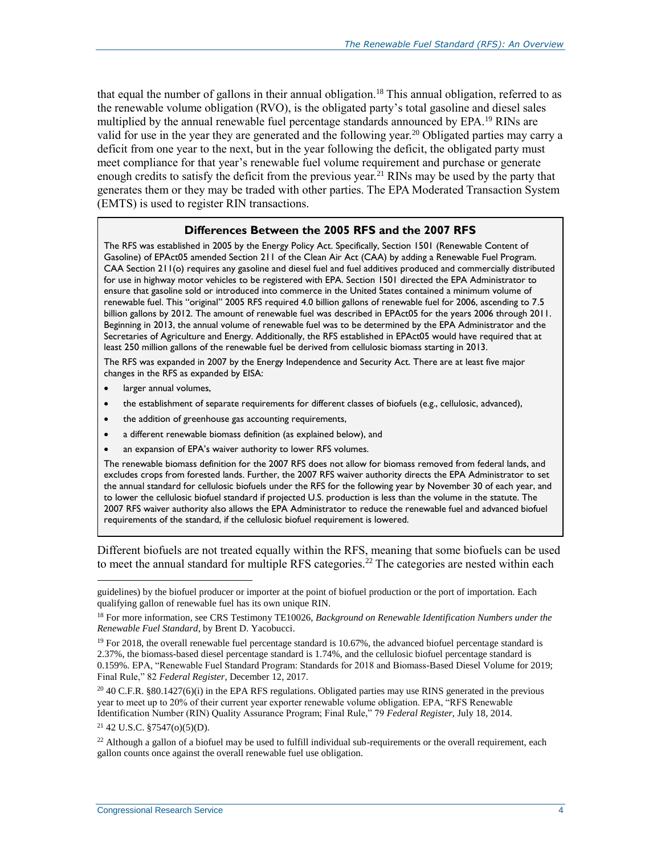that equal the number of gallons in their annual obligation.<sup>18</sup> This annual obligation, referred to as the renewable volume obligation (RVO), is the obligated party's total gasoline and diesel sales multiplied by the annual renewable fuel percentage standards announced by EPA.<sup>19</sup> RINs are valid for use in the year they are generated and the following year.<sup>20</sup> Obligated parties may carry a deficit from one year to the next, but in the year following the deficit, the obligated party must meet compliance for that year's renewable fuel volume requirement and purchase or generate enough credits to satisfy the deficit from the previous year.<sup>21</sup> RINs may be used by the party that generates them or they may be traded with other parties. The EPA Moderated Transaction System (EMTS) is used to register RIN transactions.

#### **Differences Between the 2005 RFS and the 2007 RFS**

The RFS was established in 2005 by the Energy Policy Act. Specifically, Section 1501 (Renewable Content of Gasoline) of EPAct05 amended Section 211 of the Clean Air Act (CAA) by adding a Renewable Fuel Program. CAA Section 211(o) requires any gasoline and diesel fuel and fuel additives produced and commercially distributed for use in highway motor vehicles to be registered with EPA. Section 1501 directed the EPA Administrator to ensure that gasoline sold or introduced into commerce in the United States contained a minimum volume of renewable fuel. This "original" 2005 RFS required 4.0 billion gallons of renewable fuel for 2006, ascending to 7.5 billion gallons by 2012. The amount of renewable fuel was described in EPAct05 for the years 2006 through 2011. Beginning in 2013, the annual volume of renewable fuel was to be determined by the EPA Administrator and the Secretaries of Agriculture and Energy. Additionally, the RFS established in EPAct05 would have required that at least 250 million gallons of the renewable fuel be derived from cellulosic biomass starting in 2013.

The RFS was expanded in 2007 by the Energy Independence and Security Act. There are at least five major changes in the RFS as expanded by EISA:

- larger annual volumes,
- the establishment of separate requirements for different classes of biofuels (e.g., cellulosic, advanced),
- the addition of greenhouse gas accounting requirements,
- a different renewable biomass definition (as explained below), and
- an expansion of EPA's waiver authority to lower RFS volumes.

The renewable biomass definition for the 2007 RFS does not allow for biomass removed from federal lands, and excludes crops from forested lands. Further, the 2007 RFS waiver authority directs the EPA Administrator to set the annual standard for cellulosic biofuels under the RFS for the following year by November 30 of each year, and to lower the cellulosic biofuel standard if projected U.S. production is less than the volume in the statute. The 2007 RFS waiver authority also allows the EPA Administrator to reduce the renewable fuel and advanced biofuel requirements of the standard, if the cellulosic biofuel requirement is lowered.

Different biofuels are not treated equally within the RFS, meaning that some biofuels can be used to meet the annual standard for multiple RFS categories.<sup>22</sup> The categories are nested within each

<sup>21</sup> 42 U.S.C. §7547(o)(5)(D).

 $\overline{a}$ 

<sup>22</sup> Although a gallon of a biofuel may be used to fulfill individual sub-requirements or the overall requirement, each gallon counts once against the overall renewable fuel use obligation.

guidelines) by the biofuel producer or importer at the point of biofuel production or the port of importation. Each qualifying gallon of renewable fuel has its own unique RIN.

<sup>18</sup> For more information, see CRS Testimony TE10026, *Background on Renewable Identification Numbers under the Renewable Fuel Standard*, by Brent D. Yacobucci.

<sup>&</sup>lt;sup>19</sup> For 2018, the overall renewable fuel percentage standard is 10.67%, the advanced biofuel percentage standard is 2.37%, the biomass-based diesel percentage standard is 1.74%, and the cellulosic biofuel percentage standard is 0.159%. EPA, "Renewable Fuel Standard Program: Standards for 2018 and Biomass-Based Diesel Volume for 2019; Final Rule," 82 *Federal Register*, December 12, 2017.

 $20\,40$  C.F.R. §80.1427(6)(i) in the EPA RFS regulations. Obligated parties may use RINS generated in the previous year to meet up to 20% of their current year exporter renewable volume obligation. EPA, "RFS Renewable Identification Number (RIN) Quality Assurance Program; Final Rule," 79 *Federal Register*, July 18, 2014.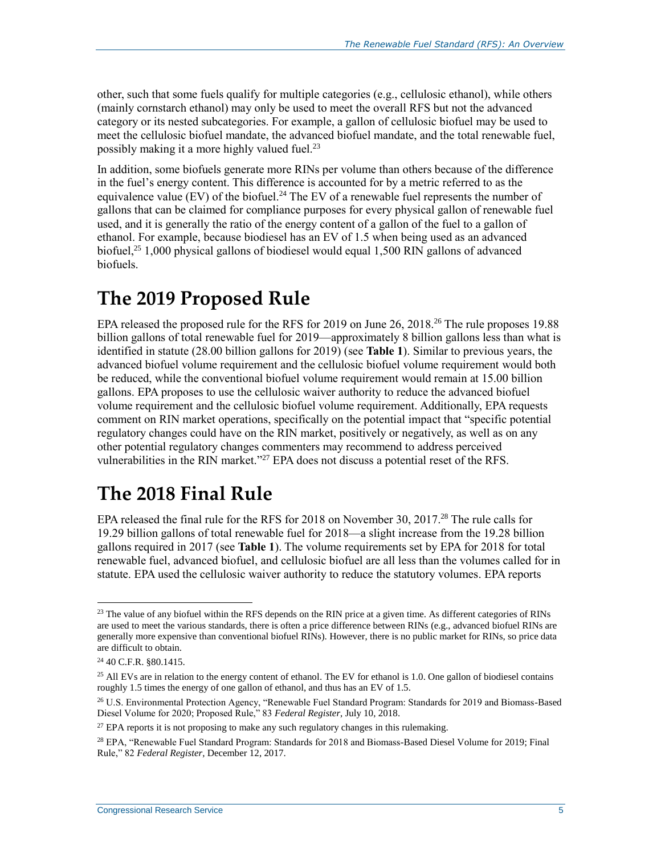other, such that some fuels qualify for multiple categories (e.g., cellulosic ethanol), while others (mainly cornstarch ethanol) may only be used to meet the overall RFS but not the advanced category or its nested subcategories. For example, a gallon of cellulosic biofuel may be used to meet the cellulosic biofuel mandate, the advanced biofuel mandate, and the total renewable fuel, possibly making it a more highly valued fuel.<sup>23</sup>

In addition, some biofuels generate more RINs per volume than others because of the difference in the fuel's energy content. This difference is accounted for by a metric referred to as the equivalence value (EV) of the biofuel.<sup>24</sup> The EV of a renewable fuel represents the number of gallons that can be claimed for compliance purposes for every physical gallon of renewable fuel used, and it is generally the ratio of the energy content of a gallon of the fuel to a gallon of ethanol. For example, because biodiesel has an EV of 1.5 when being used as an advanced biofuel,<sup>25</sup> 1,000 physical gallons of biodiesel would equal 1,500 RIN gallons of advanced biofuels.

### **The 2019 Proposed Rule**

EPA released the proposed rule for the RFS for 2019 on June 26, 2018.<sup>26</sup> The rule proposes 19.88 billion gallons of total renewable fuel for 2019—approximately 8 billion gallons less than what is identified in statute (28.00 billion gallons for 2019) (see **[Table 1](#page-9-0)**). Similar to previous years, the advanced biofuel volume requirement and the cellulosic biofuel volume requirement would both be reduced, while the conventional biofuel volume requirement would remain at 15.00 billion gallons. EPA proposes to use the cellulosic waiver authority to reduce the advanced biofuel volume requirement and the cellulosic biofuel volume requirement. Additionally, EPA requests comment on RIN market operations, specifically on the potential impact that "specific potential regulatory changes could have on the RIN market, positively or negatively, as well as on any other potential regulatory changes commenters may recommend to address perceived vulnerabilities in the RIN market."<sup>27</sup> EPA does not discuss a potential reset of the RFS.

### **The 2018 Final Rule**

EPA released the final rule for the RFS for 2018 on November 30, 2017.<sup>28</sup> The rule calls for 19.29 billion gallons of total renewable fuel for 2018—a slight increase from the 19.28 billion gallons required in 2017 (see **[Table 1](#page-9-0)**). The volume requirements set by EPA for 2018 for total renewable fuel, advanced biofuel, and cellulosic biofuel are all less than the volumes called for in statute. EPA used the cellulosic waiver authority to reduce the statutory volumes. EPA reports

<sup>&</sup>lt;sup>23</sup> The value of any biofuel within the RFS depends on the RIN price at a given time. As different categories of RINs are used to meet the various standards, there is often a price difference between RINs (e.g., advanced biofuel RINs are generally more expensive than conventional biofuel RINs). However, there is no public market for RINs, so price data are difficult to obtain.

<sup>24</sup> 40 C.F.R. §80.1415.

<sup>&</sup>lt;sup>25</sup> All EVs are in relation to the energy content of ethanol. The EV for ethanol is 1.0. One gallon of biodiesel contains roughly 1.5 times the energy of one gallon of ethanol, and thus has an EV of 1.5.

<sup>26</sup> U.S. Environmental Protection Agency, "Renewable Fuel Standard Program: Standards for 2019 and Biomass-Based Diesel Volume for 2020; Proposed Rule," 83 *Federal Register*, July 10, 2018.

<sup>&</sup>lt;sup>27</sup> EPA reports it is not proposing to make any such regulatory changes in this rulemaking.

<sup>28</sup> EPA, "Renewable Fuel Standard Program: Standards for 2018 and Biomass-Based Diesel Volume for 2019; Final Rule," 82 *Federal Register*, December 12, 2017.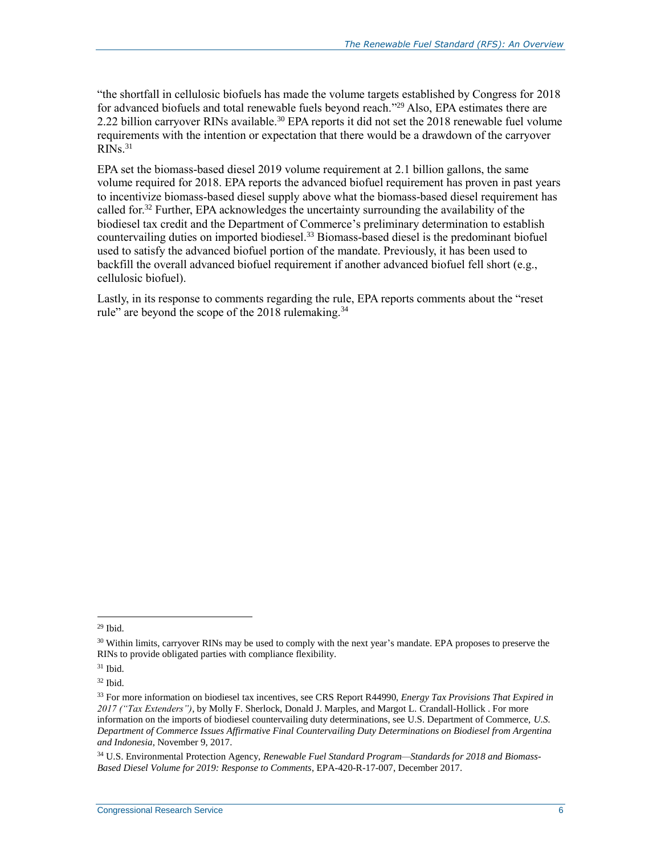"the shortfall in cellulosic biofuels has made the volume targets established by Congress for 2018 for advanced biofuels and total renewable fuels beyond reach."<sup>29</sup> Also, EPA estimates there are 2.22 billion carryover RINs available.<sup>30</sup> EPA reports it did not set the 2018 renewable fuel volume requirements with the intention or expectation that there would be a drawdown of the carryover  $R\overline{N}$ s.<sup>31</sup>

EPA set the biomass-based diesel 2019 volume requirement at 2.1 billion gallons, the same volume required for 2018. EPA reports the advanced biofuel requirement has proven in past years to incentivize biomass-based diesel supply above what the biomass-based diesel requirement has called for.<sup>32</sup> Further, EPA acknowledges the uncertainty surrounding the availability of the biodiesel tax credit and the Department of Commerce's preliminary determination to establish countervailing duties on imported biodiesel.<sup>33</sup> Biomass-based diesel is the predominant biofuel used to satisfy the advanced biofuel portion of the mandate. Previously, it has been used to backfill the overall advanced biofuel requirement if another advanced biofuel fell short (e.g., cellulosic biofuel).

Lastly, in its response to comments regarding the rule, EPA reports comments about the "reset rule" are beyond the scope of the 2018 rulemaking.<sup>34</sup>

 $29$  Ibid.

<sup>&</sup>lt;sup>30</sup> Within limits, carryover RINs may be used to comply with the next year's mandate. EPA proposes to preserve the RINs to provide obligated parties with compliance flexibility.

<sup>31</sup> Ibid.

<sup>32</sup> Ibid.

<sup>33</sup> For more information on biodiesel tax incentives, see CRS Report R44990, *Energy Tax Provisions That Expired in 2017 ("Tax Extenders")*, by Molly F. Sherlock, Donald J. Marples, and Margot L. Crandall-Hollick . For more information on the imports of biodiesel countervailing duty determinations, see U.S. Department of Commerce, *U.S. Department of Commerce Issues Affirmative Final Countervailing Duty Determinations on Biodiesel from Argentina and Indonesia*, November 9, 2017.

<sup>34</sup> U.S. Environmental Protection Agency, *Renewable Fuel Standard Program—Standards for 2018 and Biomass-Based Diesel Volume for 2019: Response to Comments*, EPA-420-R-17-007, December 2017.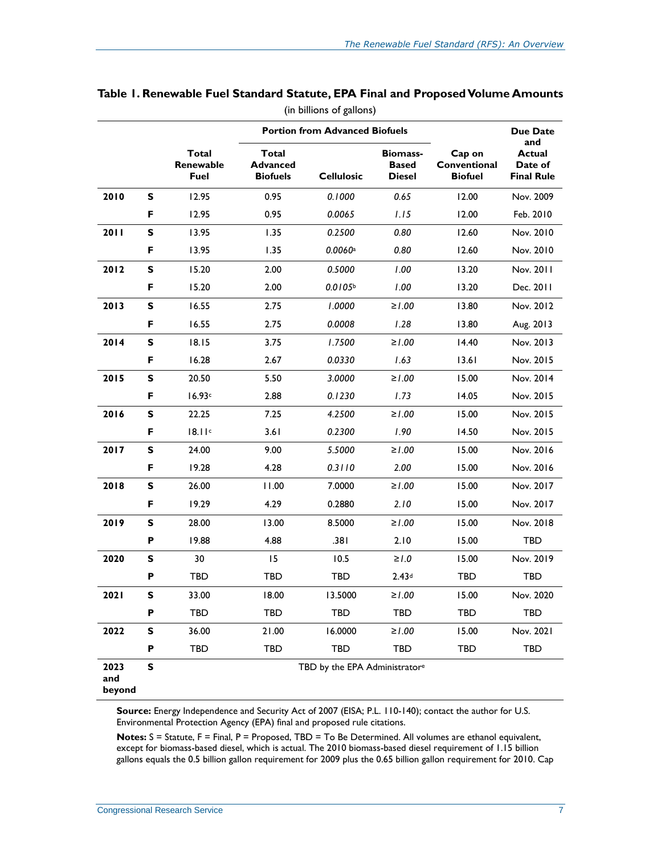|                       |                                   |                                             |                   | <b>Portion from Advanced Biofuels</b>            | Cap on<br>Conventional<br><b>Biofuel</b> | <b>Due Date</b><br>and<br><b>Actual</b><br>Date of<br><b>Final Rule</b> |            |
|-----------------------|-----------------------------------|---------------------------------------------|-------------------|--------------------------------------------------|------------------------------------------|-------------------------------------------------------------------------|------------|
|                       | <b>Total</b><br>Renewable<br>Fuel | Total<br><b>Advanced</b><br><b>Biofuels</b> | <b>Cellulosic</b> | <b>Biomass-</b><br><b>Based</b><br><b>Diesel</b> |                                          |                                                                         |            |
| 2010                  | S                                 | 12.95                                       | 0.95              | 0.1000                                           | 0.65                                     | 12.00                                                                   | Nov. 2009  |
|                       | F                                 | 12.95                                       | 0.95              | 0.0065                                           | 1.15                                     | 12.00                                                                   | Feb. 2010  |
| 2011                  | S                                 | 13.95                                       | 1.35              | 0.2500                                           | 0.80                                     | 12.60                                                                   | Nov. 2010  |
|                       | F                                 | 13.95                                       | 1.35              | 0.0060a                                          | 0.80                                     | 12.60                                                                   | Nov. 2010  |
| 2012                  | S                                 | 15.20                                       | 2.00              | 0.5000                                           | 1.00                                     | 13.20                                                                   | Nov. 2011  |
|                       | F                                 | 15.20                                       | 2.00              | 0.0105 <sup>b</sup>                              | 1.00                                     | 13.20                                                                   | Dec. 2011  |
| 2013                  | S                                 | 16.55                                       | 2.75              | 1.0000                                           | ≥1.00                                    | 13.80                                                                   | Nov. 2012  |
|                       | F                                 | 16.55                                       | 2.75              | 0.0008                                           | 1.28                                     | 13.80                                                                   | Aug. 2013  |
| 2014                  | S                                 | 18.15                                       | 3.75              | 1.7500                                           | ≥1.00                                    | 14.40                                                                   | Nov. 2013  |
|                       | F                                 | 16.28                                       | 2.67              | 0.0330                                           | 1.63                                     | 13.61                                                                   | Nov. 2015  |
| 2015                  | S                                 | 20.50                                       | 5.50              | 3.0000                                           | ≥1.00                                    | 15.00                                                                   | Nov. 2014  |
|                       | F                                 | 16.93c                                      | 2.88              | 0.1230                                           | 1.73                                     | 14.05                                                                   | Nov. 2015  |
| 2016                  | S                                 | 22.25                                       | 7.25              | 4.2500                                           | ≥1.00                                    | 15.00                                                                   | Nov. 2015  |
|                       | F                                 | 18.11c                                      | 3.61              | 0.2300                                           | 1.90                                     | 14.50                                                                   | Nov. 2015  |
| 2017                  | S                                 | 24.00                                       | 9.00              | 5.5000                                           | ≥1.00                                    | 15.00                                                                   | Nov. 2016  |
|                       | F                                 | 19.28                                       | 4.28              | 0.3110                                           | 2.00                                     | 15.00                                                                   | Nov. 2016  |
| 2018                  | S                                 | 26.00                                       | 11.00             | 7.0000                                           | ≥1.00                                    | 15.00                                                                   | Nov. 2017  |
|                       | F                                 | 19.29                                       | 4.29              | 0.2880                                           | 2.10                                     | 15.00                                                                   | Nov. 2017  |
| 2019                  | S                                 | 28.00                                       | 13.00             | 8.5000                                           | ≥1.00                                    | 15.00                                                                   | Nov. 2018  |
|                       | P                                 | 19.88                                       | 4.88              | .381                                             | 2.10                                     | 15.00                                                                   | <b>TBD</b> |
| 2020                  | S                                 | 30                                          | 15                | 10.5                                             | $\geq 1.0$                               | 15.00                                                                   | Nov. 2019  |
|                       | P                                 | <b>TBD</b>                                  | <b>TBD</b>        | <b>TBD</b>                                       | 2.43 <sup>d</sup>                        | <b>TBD</b>                                                              | <b>TBD</b> |
| 2021                  | S                                 | 33.00                                       | 18.00             | 13.5000                                          | ≥1.00                                    | 15.00                                                                   | Nov. 2020  |
|                       | P                                 | TBD                                         | <b>TBD</b>        | <b>TBD</b>                                       | <b>TBD</b>                               | TBD                                                                     | <b>TBD</b> |
| 2022                  | S                                 | 36.00                                       | 21.00             | 16.0000                                          | $≥1.00$                                  | 15.00                                                                   | Nov. 2021  |
|                       | Р                                 | TBD                                         | <b>TBD</b>        | TBD                                              | TBD                                      | TBD                                                                     | <b>TBD</b> |
| 2023<br>and<br>beyond | S                                 |                                             |                   | TBD by the EPA Administratore                    |                                          |                                                                         |            |

#### <span id="page-9-0"></span>**Table 1. Renewable Fuel Standard Statute, EPA Final and Proposed Volume Amounts** (in billions of gallons)

**Source:** Energy Independence and Security Act of 2007 (EISA; [P.L. 110-140\)](http://www.congress.gov/cgi-lis/bdquery/R?d110:FLD002:@1(110+140)); contact the author for U.S. Environmental Protection Agency (EPA) final and proposed rule citations.

**Notes:** S = Statute, F = Final, P = Proposed, TBD = To Be Determined. All volumes are ethanol equivalent, except for biomass-based diesel, which is actual. The 2010 biomass-based diesel requirement of 1.15 billion gallons equals the 0.5 billion gallon requirement for 2009 plus the 0.65 billion gallon requirement for 2010. Cap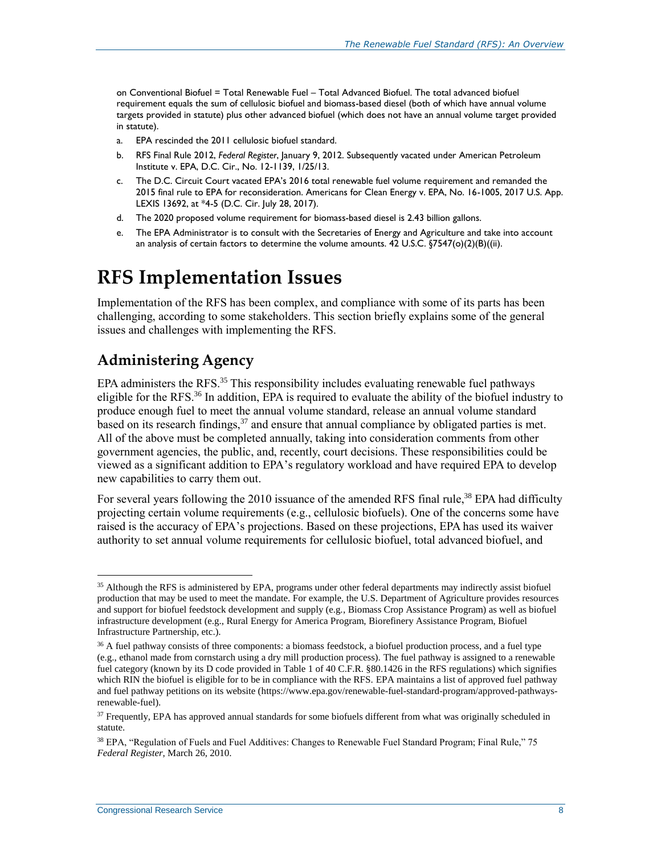on Conventional Biofuel = Total Renewable Fuel – Total Advanced Biofuel. The total advanced biofuel requirement equals the sum of cellulosic biofuel and biomass-based diesel (both of which have annual volume targets provided in statute) plus other advanced biofuel (which does not have an annual volume target provided in statute).

- <span id="page-10-1"></span>a. EPA rescinded the 2011 cellulosic biofuel standard.
- <span id="page-10-2"></span>b. RFS Final Rule 2012, *Federal Register*, January 9, 2012. Subsequently vacated under American Petroleum Institute v. EPA, D.C. Cir., No. 12-1139, 1/25/13.
- <span id="page-10-3"></span>c. The D.C. Circuit Court vacated EPA's 2016 total renewable fuel volume requirement and remanded the 2015 final rule to EPA for reconsideration. Americans for Clean Energy v. EPA, No. 16-1005, 2017 U.S. App. LEXIS 13692, at \*4-5 (D.C. Cir. July 28, 2017).
- <span id="page-10-4"></span>d. The 2020 proposed volume requirement for biomass-based diesel is 2.43 billion gallons.
- <span id="page-10-5"></span>e. The EPA Administrator is to consult with the Secretaries of Energy and Agriculture and take into account an analysis of certain factors to determine the volume amounts. 42 U.S.C. §7547(o)(2)(B)((ii).

### **RFS Implementation Issues**

Implementation of the RFS has been complex, and compliance with some of its parts has been challenging, according to some stakeholders. This section briefly explains some of the general issues and challenges with implementing the RFS.

#### <span id="page-10-0"></span>**Administering Agency**

EPA administers the RFS. $35$  This responsibility includes evaluating renewable fuel pathways eligible for the RFS.<sup>36</sup> In addition, EPA is required to evaluate the ability of the biofuel industry to produce enough fuel to meet the annual volume standard, release an annual volume standard based on its research findings,  $37$  and ensure that annual compliance by obligated parties is met. All of the above must be completed annually, taking into consideration comments from other government agencies, the public, and, recently, court decisions. These responsibilities could be viewed as a significant addition to EPA's regulatory workload and have required EPA to develop new capabilities to carry them out.

For several years following the 2010 issuance of the amended RFS final rule,<sup>38</sup> EPA had difficulty projecting certain volume requirements (e.g., cellulosic biofuels). One of the concerns some have raised is the accuracy of EPA's projections. Based on these projections, EPA has used its waiver authority to set annual volume requirements for cellulosic biofuel, total advanced biofuel, and

 $\overline{a}$ <sup>35</sup> Although the RFS is administered by EPA, programs under other federal departments may indirectly assist biofuel production that may be used to meet the mandate. For example, the U.S. Department of Agriculture provides resources and support for biofuel feedstock development and supply (e.g., Biomass Crop Assistance Program) as well as biofuel infrastructure development (e.g., Rural Energy for America Program, Biorefinery Assistance Program, Biofuel Infrastructure Partnership, etc.).

<sup>&</sup>lt;sup>36</sup> A fuel pathway consists of three components: a biomass feedstock, a biofuel production process, and a fuel type (e.g., ethanol made from cornstarch using a dry mill production process). The fuel pathway is assigned to a renewable fuel category (known by its D code provided in Table 1 of 40 C.F.R. §80.1426 in the RFS regulations) which signifies which RIN the biofuel is eligible for to be in compliance with the RFS. EPA maintains a list of approved fuel pathway and fuel pathway petitions on its website (https://www.epa.gov/renewable-fuel-standard-program/approved-pathwaysrenewable-fuel).

<sup>&</sup>lt;sup>37</sup> Frequently, EPA has approved annual standards for some biofuels different from what was originally scheduled in statute.

<sup>38</sup> EPA, "Regulation of Fuels and Fuel Additives: Changes to Renewable Fuel Standard Program; Final Rule," 75 *Federal Register*, March 26, 2010.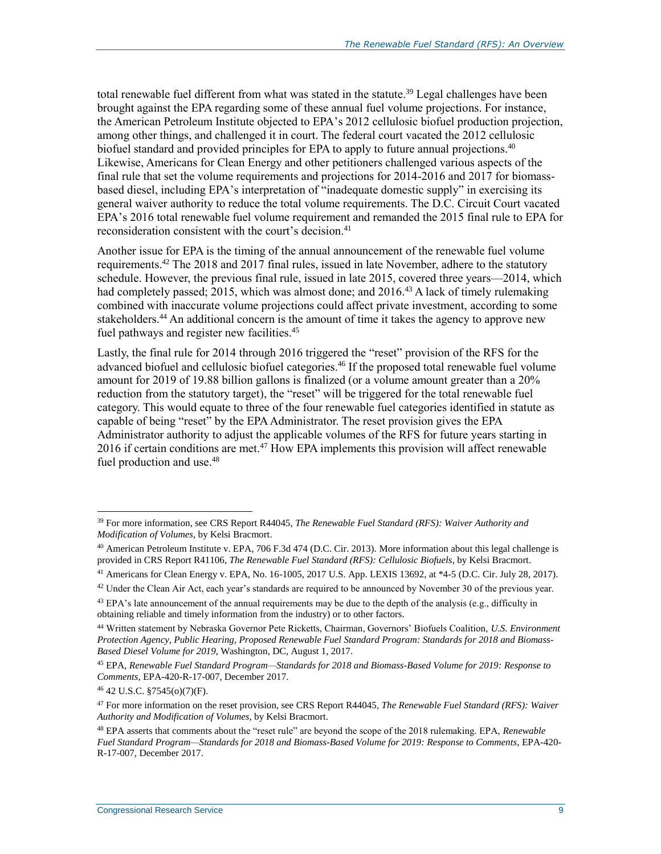total renewable fuel different from what was stated in the statute.<sup>39</sup> Legal challenges have been brought against the EPA regarding some of these annual fuel volume projections. For instance, the American Petroleum Institute objected to EPA's 2012 cellulosic biofuel production projection, among other things, and challenged it in court. The federal court vacated the 2012 cellulosic biofuel standard and provided principles for EPA to apply to future annual projections.<sup>40</sup> Likewise, Americans for Clean Energy and other petitioners challenged various aspects of the final rule that set the volume requirements and projections for 2014-2016 and 2017 for biomassbased diesel, including EPA's interpretation of "inadequate domestic supply" in exercising its general waiver authority to reduce the total volume requirements. The D.C. Circuit Court vacated EPA's 2016 total renewable fuel volume requirement and remanded the 2015 final rule to EPA for reconsideration consistent with the court's decision. $41$ 

Another issue for EPA is the timing of the annual announcement of the renewable fuel volume requirements.<sup>42</sup> The 2018 and 2017 final rules, issued in late November, adhere to the statutory schedule. However, the previous final rule, issued in late 2015, covered three years—2014, which had completely passed;  $2015$ , which was almost done; and  $2016<sup>43</sup>$  A lack of timely rulemaking combined with inaccurate volume projections could affect private investment, according to some stakeholders.<sup>44</sup> An additional concern is the amount of time it takes the agency to approve new fuel pathways and register new facilities.<sup>45</sup>

Lastly, the final rule for 2014 through 2016 triggered the "reset" provision of the RFS for the advanced biofuel and cellulosic biofuel categories.<sup>46</sup> If the proposed total renewable fuel volume amount for 2019 of 19.88 billion gallons is finalized (or a volume amount greater than a 20% reduction from the statutory target), the "reset" will be triggered for the total renewable fuel category. This would equate to three of the four renewable fuel categories identified in statute as capable of being "reset" by the EPA Administrator. The reset provision gives the EPA Administrator authority to adjust the applicable volumes of the RFS for future years starting in 2016 if certain conditions are met.<sup>47</sup> How EPA implements this provision will affect renewable fuel production and use.<sup>48</sup>

<sup>39</sup> For more information, see CRS Report R44045, *The Renewable Fuel Standard (RFS): Waiver Authority and Modification of Volumes*, by Kelsi Bracmort.

<sup>40</sup> American Petroleum Institute v. EPA, 706 F.3d 474 (D.C. Cir. 2013). More information about this legal challenge is provided in CRS Report R41106, *The Renewable Fuel Standard (RFS): Cellulosic Biofuels*, by Kelsi Bracmort.

<sup>41</sup> Americans for Clean Energy v. EPA, No. 16-1005, 2017 U.S. App. LEXIS 13692, at \*4-5 (D.C. Cir. July 28, 2017).

 $42$  Under the Clean Air Act, each year's standards are required to be announced by November 30 of the previous year.

<sup>&</sup>lt;sup>43</sup> EPA's late announcement of the annual requirements may be due to the depth of the analysis (e.g., difficulty in obtaining reliable and timely information from the industry) or to other factors.

<sup>44</sup> Written statement by Nebraska Governor Pete Ricketts, Chairman, Governors' Biofuels Coalition, *U.S. Environment Protection Agency, Public Hearing, Proposed Renewable Fuel Standard Program: Standards for 2018 and Biomass-Based Diesel Volume for 2019*, Washington, DC, August 1, 2017.

<sup>45</sup> EPA, *Renewable Fuel Standard Program—Standards for 2018 and Biomass-Based Volume for 2019: Response to Comments*, EPA-420-R-17-007, December 2017.

<sup>46</sup> 42 U.S.C. §7545(o)(7)(F).

<sup>47</sup> For more information on the reset provision, see CRS Report R44045, *The Renewable Fuel Standard (RFS): Waiver Authority and Modification of Volumes*, by Kelsi Bracmort.

<sup>48</sup> EPA asserts that comments about the "reset rule" are beyond the scope of the 2018 rulemaking. EPA, *Renewable Fuel Standard Program—Standards for 2018 and Biomass-Based Volume for 2019: Response to Comments*, EPA-420- R-17-007, December 2017.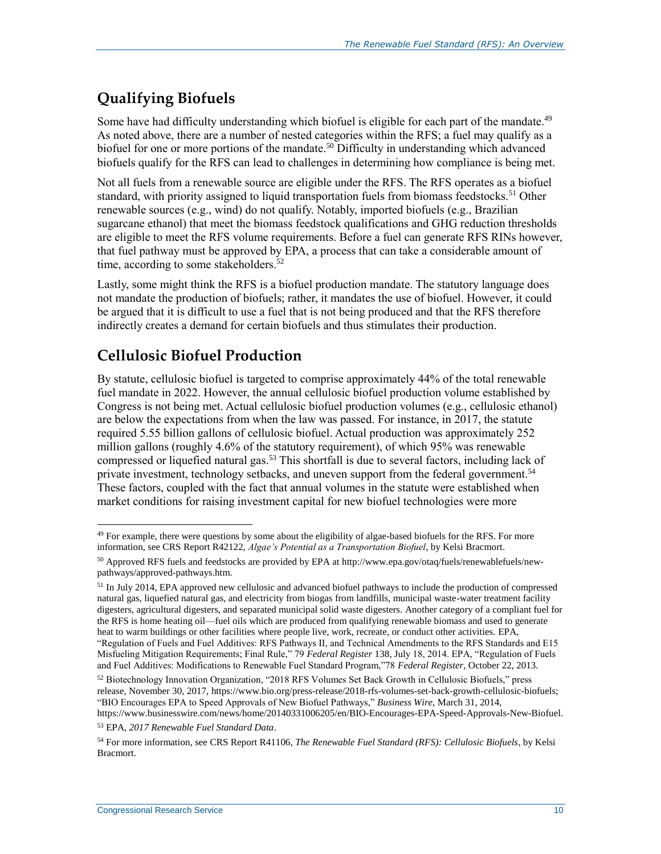#### **Qualifying Biofuels**

Some have had difficulty understanding which biofuel is eligible for each part of the mandate.<sup>49</sup> As noted above, there are a number of nested categories within the RFS; a fuel may qualify as a biofuel for one or more portions of the mandate.<sup>50</sup> Difficulty in understanding which advanced biofuels qualify for the RFS can lead to challenges in determining how compliance is being met.

Not all fuels from a renewable source are eligible under the RFS. The RFS operates as a biofuel standard, with priority assigned to liquid transportation fuels from biomass feedstocks.<sup>51</sup> Other renewable sources (e.g., wind) do not qualify. Notably, imported biofuels (e.g., Brazilian sugarcane ethanol) that meet the biomass feedstock qualifications and GHG reduction thresholds are eligible to meet the RFS volume requirements. Before a fuel can generate RFS RINs however, that fuel pathway must be approved by EPA, a process that can take a considerable amount of time, according to some stakeholders.<sup>52</sup>

Lastly, some might think the RFS is a biofuel production mandate. The statutory language does not mandate the production of biofuels; rather, it mandates the use of biofuel. However, it could be argued that it is difficult to use a fuel that is not being produced and that the RFS therefore indirectly creates a demand for certain biofuels and thus stimulates their production.

#### **Cellulosic Biofuel Production**

By statute, cellulosic biofuel is targeted to comprise approximately 44% of the total renewable fuel mandate in 2022. However, the annual cellulosic biofuel production volume established by Congress is not being met. Actual cellulosic biofuel production volumes (e.g., cellulosic ethanol) are below the expectations from when the law was passed. For instance, in 2017, the statute required 5.55 billion gallons of cellulosic biofuel. Actual production was approximately 252 million gallons (roughly 4.6% of the statutory requirement), of which 95% was renewable compressed or liquefied natural gas.<sup>53</sup> This shortfall is due to several factors, including lack of private investment, technology setbacks, and uneven support from the federal government.<sup>54</sup> These factors, coupled with the fact that annual volumes in the statute were established when market conditions for raising investment capital for new biofuel technologies were more

 $\overline{a}$  $49$  For example, there were questions by some about the eligibility of algae-based biofuels for the RFS. For more information, see CRS Report R42122, *Algae's Potential as a Transportation Biofuel*, by Kelsi Bracmort.

<sup>50</sup> Approved RFS fuels and feedstocks are provided by EPA at http://www.epa.gov/otaq/fuels/renewablefuels/newpathways/approved-pathways.htm.

<sup>51</sup> In July 2014, EPA approved new cellulosic and advanced biofuel pathways to include the production of compressed natural gas, liquefied natural gas, and electricity from biogas from landfills, municipal waste-water treatment facility digesters, agricultural digesters, and separated municipal solid waste digesters. Another category of a compliant fuel for the RFS is home heating oil—fuel oils which are produced from qualifying renewable biomass and used to generate heat to warm buildings or other facilities where people live, work, recreate, or conduct other activities. EPA, "Regulation of Fuels and Fuel Additives: RFS Pathways II, and Technical Amendments to the RFS Standards and E15 Misfueling Mitigation Requirements; Final Rule," 79 *Federal Register* 138, July 18, 2014. EPA, "Regulation of Fuels and Fuel Additives: Modifications to Renewable Fuel Standard Program,"78 *Federal Register*, October 22, 2013.

<sup>&</sup>lt;sup>52</sup> Biotechnology Innovation Organization, "2018 RFS Volumes Set Back Growth in Cellulosic Biofuels," press release, November 30, 2017, https://www.bio.org/press-release/2018-rfs-volumes-set-back-growth-cellulosic-biofuels; "BIO Encourages EPA to Speed Approvals of New Biofuel Pathways," *Business Wire*, March 31, 2014,

https://www.businesswire.com/news/home/20140331006205/en/BIO-Encourages-EPA-Speed-Approvals-New-Biofuel. <sup>53</sup> EPA, *2017 Renewable Fuel Standard Data*.

<sup>54</sup> For more information, see CRS Report R41106, *The Renewable Fuel Standard (RFS): Cellulosic Biofuels*, by Kelsi Bracmort.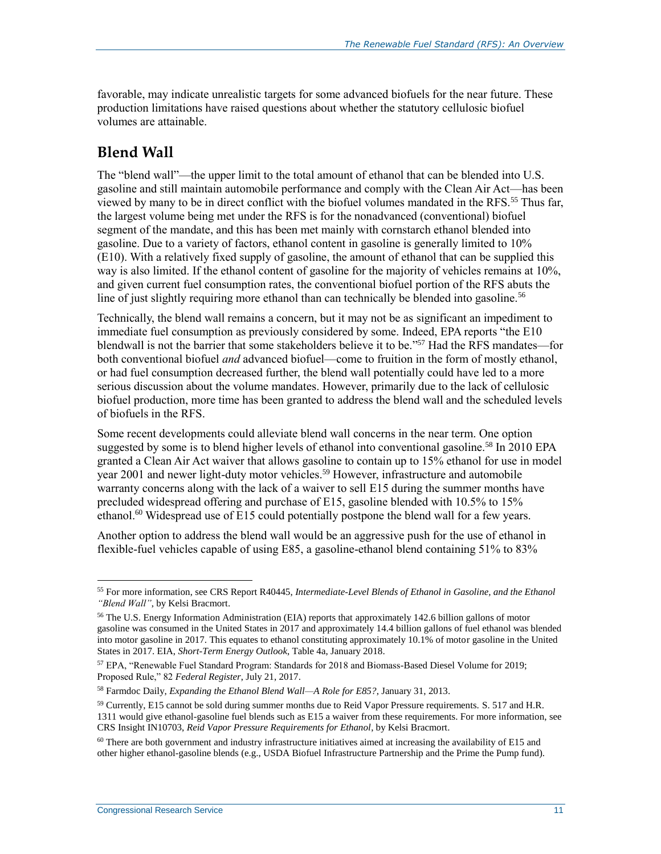favorable, may indicate unrealistic targets for some advanced biofuels for the near future. These production limitations have raised questions about whether the statutory cellulosic biofuel volumes are attainable.

#### **Blend Wall**

The "blend wall"—the upper limit to the total amount of ethanol that can be blended into U.S. gasoline and still maintain automobile performance and comply with the Clean Air Act—has been viewed by many to be in direct conflict with the biofuel volumes mandated in the RFS.<sup>55</sup> Thus far, the largest volume being met under the RFS is for the nonadvanced (conventional) biofuel segment of the mandate, and this has been met mainly with cornstarch ethanol blended into gasoline. Due to a variety of factors, ethanol content in gasoline is generally limited to 10% (E10). With a relatively fixed supply of gasoline, the amount of ethanol that can be supplied this way is also limited. If the ethanol content of gasoline for the majority of vehicles remains at 10%, and given current fuel consumption rates, the conventional biofuel portion of the RFS abuts the line of just slightly requiring more ethanol than can technically be blended into gasoline.<sup>56</sup>

Technically, the blend wall remains a concern, but it may not be as significant an impediment to immediate fuel consumption as previously considered by some. Indeed, EPA reports "the E10 blendwall is not the barrier that some stakeholders believe it to be." <sup>57</sup> Had the RFS mandates—for both conventional biofuel *and* advanced biofuel—come to fruition in the form of mostly ethanol, or had fuel consumption decreased further, the blend wall potentially could have led to a more serious discussion about the volume mandates. However, primarily due to the lack of cellulosic biofuel production, more time has been granted to address the blend wall and the scheduled levels of biofuels in the RFS.

Some recent developments could alleviate blend wall concerns in the near term. One option suggested by some is to blend higher levels of ethanol into conventional gasoline.<sup>58</sup> In 2010 EPA granted a Clean Air Act waiver that allows gasoline to contain up to 15% ethanol for use in model year 2001 and newer light-duty motor vehicles.<sup>59</sup> However, infrastructure and automobile warranty concerns along with the lack of a waiver to sell E15 during the summer months have precluded widespread offering and purchase of E15, gasoline blended with 10.5% to 15% ethanol.<sup>60</sup> Widespread use of E15 could potentially postpone the blend wall for a few years.

Another option to address the blend wall would be an aggressive push for the use of ethanol in flexible-fuel vehicles capable of using E85, a gasoline-ethanol blend containing 51% to 83%

<sup>55</sup> For more information, see CRS Report R40445, *Intermediate-Level Blends of Ethanol in Gasoline, and the Ethanol "Blend Wall"*, by Kelsi Bracmort.

<sup>56</sup> The U.S. Energy Information Administration (EIA) reports that approximately 142.6 billion gallons of motor gasoline was consumed in the United States in 2017 and approximately 14.4 billion gallons of fuel ethanol was blended into motor gasoline in 2017. This equates to ethanol constituting approximately 10.1% of motor gasoline in the United States in 2017. EIA, *Short-Term Energy Outlook*, Table 4a, January 2018.

<sup>57</sup> EPA, "Renewable Fuel Standard Program: Standards for 2018 and Biomass-Based Diesel Volume for 2019; Proposed Rule," 82 *Federal Register*, July 21, 2017.

<sup>58</sup> Farmdoc Daily, *Expanding the Ethanol Blend Wall—A Role for E85?*, January 31, 2013.

<sup>&</sup>lt;sup>59</sup> Currently, E15 cannot be sold during summer months due to Reid Vapor Pressure requirements. S. 517 and H.R. 1311 would give ethanol-gasoline fuel blends such as E15 a waiver from these requirements. For more information, see CRS Insight IN10703, *Reid Vapor Pressure Requirements for Ethanol*, by Kelsi Bracmort.

<sup>&</sup>lt;sup>60</sup> There are both government and industry infrastructure initiatives aimed at increasing the availability of E15 and other higher ethanol-gasoline blends (e.g., USDA Biofuel Infrastructure Partnership and the Prime the Pump fund).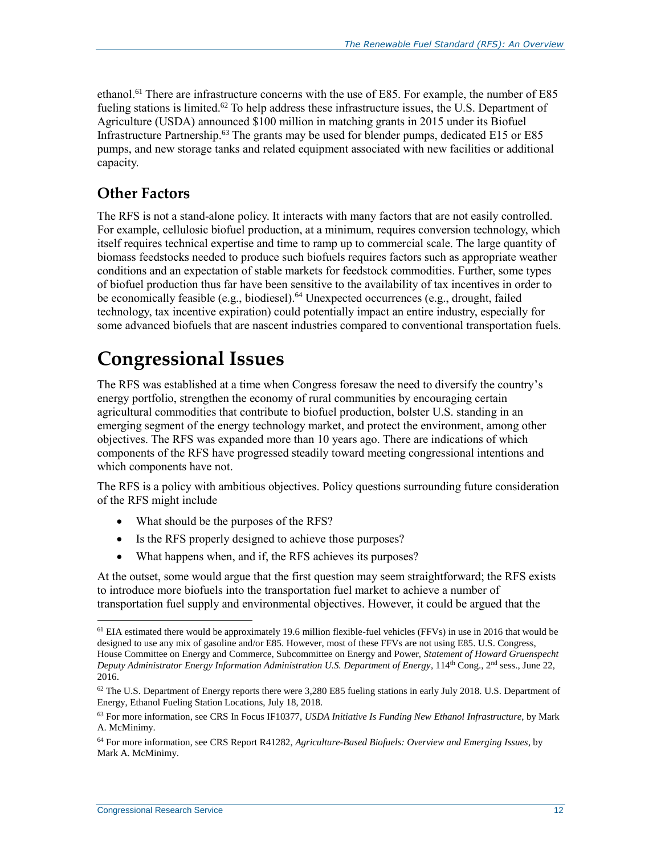ethanol.<sup>61</sup> There are infrastructure concerns with the use of E85. For example, the number of E85 fueling stations is limited.<sup>62</sup> To help address these infrastructure issues, the U.S. Department of Agriculture (USDA) announced \$100 million in matching grants in 2015 under its Biofuel Infrastructure Partnership.<sup>63</sup> The grants may be used for blender pumps, dedicated E15 or E85 pumps, and new storage tanks and related equipment associated with new facilities or additional capacity.

#### **Other Factors**

The RFS is not a stand-alone policy. It interacts with many factors that are not easily controlled. For example, cellulosic biofuel production, at a minimum, requires conversion technology, which itself requires technical expertise and time to ramp up to commercial scale. The large quantity of biomass feedstocks needed to produce such biofuels requires factors such as appropriate weather conditions and an expectation of stable markets for feedstock commodities. Further, some types of biofuel production thus far have been sensitive to the availability of tax incentives in order to be economically feasible (e.g., biodiesel).<sup>64</sup> Unexpected occurrences (e.g., drought, failed technology, tax incentive expiration) could potentially impact an entire industry, especially for some advanced biofuels that are nascent industries compared to conventional transportation fuels.

### **Congressional Issues**

The RFS was established at a time when Congress foresaw the need to diversify the country's energy portfolio, strengthen the economy of rural communities by encouraging certain agricultural commodities that contribute to biofuel production, bolster U.S. standing in an emerging segment of the energy technology market, and protect the environment, among other objectives. The RFS was expanded more than 10 years ago. There are indications of which components of the RFS have progressed steadily toward meeting congressional intentions and which components have not.

The RFS is a policy with ambitious objectives. Policy questions surrounding future consideration of the RFS might include

- What should be the purposes of the RFS?
- Is the RFS properly designed to achieve those purposes?
- What happens when, and if, the RFS achieves its purposes?

At the outset, some would argue that the first question may seem straightforward; the RFS exists to introduce more biofuels into the transportation fuel market to achieve a number of transportation fuel supply and environmental objectives. However, it could be argued that the

<sup>&</sup>lt;sup>61</sup> EIA estimated there would be approximately 19.6 million flexible-fuel vehicles (FFVs) in use in 2016 that would be designed to use any mix of gasoline and/or E85. However, most of these FFVs are not using E85. U.S. Congress, House Committee on Energy and Commerce, Subcommittee on Energy and Power, *Statement of Howard Gruenspecht Deputy Administrator Energy Information Administration U.S. Department of Energy*, 114<sup>th</sup> Cong., 2<sup>nd</sup> sess., June 22, 2016.

 $62$  The U.S. Department of Energy reports there were 3,280 E85 fueling stations in early July 2018. U.S. Department of Energy, Ethanol Fueling Station Locations, July 18, 2018.

<sup>63</sup> For more information, see CRS In Focus IF10377, *USDA Initiative Is Funding New Ethanol Infrastructure*, by Mark A. McMinimy.

<sup>64</sup> For more information, see CRS Report R41282, *Agriculture-Based Biofuels: Overview and Emerging Issues*, by Mark A. McMinimy.